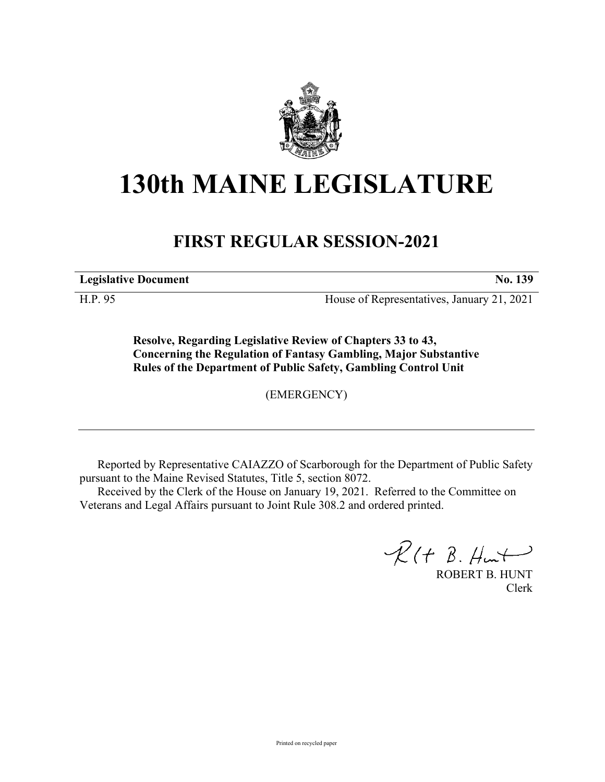

## **130th MAINE LEGISLATURE**

## **FIRST REGULAR SESSION-2021**

**Legislative Document No. 139**

H.P. 95 House of Representatives, January 21, 2021

**Resolve, Regarding Legislative Review of Chapters 33 to 43, Concerning the Regulation of Fantasy Gambling, Major Substantive Rules of the Department of Public Safety, Gambling Control Unit**

(EMERGENCY)

Reported by Representative CAIAZZO of Scarborough for the Department of Public Safety pursuant to the Maine Revised Statutes, Title 5, section 8072.

Received by the Clerk of the House on January 19, 2021. Referred to the Committee on Veterans and Legal Affairs pursuant to Joint Rule 308.2 and ordered printed.

 $R(H B. Hmt)$ 

ROBERT B. HUNT Clerk